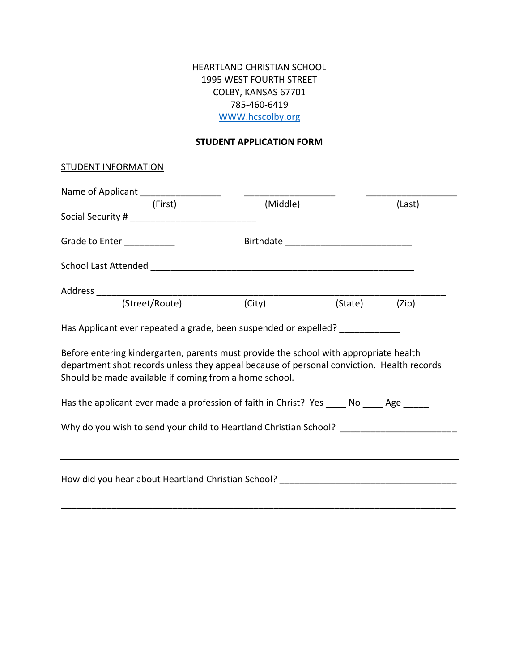## HEARTLAND CHRISTIAN SCHOOL 1995 WEST FOURTH STREET COLBY, KANSAS 67701 785-460-6419 [WWW.hcscolby.org](http://www.hcscolby.org/)

#### **STUDENT APPLICATION FORM**

#### **STUDENT INFORMATION**

| Name of Applicant ____________________                                                                                                                                                                                                       |          |         |        |  |  |
|----------------------------------------------------------------------------------------------------------------------------------------------------------------------------------------------------------------------------------------------|----------|---------|--------|--|--|
| (First)                                                                                                                                                                                                                                      | (Middle) |         | (Last) |  |  |
|                                                                                                                                                                                                                                              |          |         |        |  |  |
| Grade to Enter ___________                                                                                                                                                                                                                   |          |         |        |  |  |
|                                                                                                                                                                                                                                              |          |         |        |  |  |
|                                                                                                                                                                                                                                              |          |         |        |  |  |
| (Street/Route)                                                                                                                                                                                                                               | (City)   | (State) | (Zip)  |  |  |
| Has Applicant ever repeated a grade, been suspended or expelled?                                                                                                                                                                             |          |         |        |  |  |
| Before entering kindergarten, parents must provide the school with appropriate health<br>department shot records unless they appeal because of personal conviction. Health records<br>Should be made available if coming from a home school. |          |         |        |  |  |
| Has the applicant ever made a profession of faith in Christ? Yes _____ No _____ Age ______                                                                                                                                                   |          |         |        |  |  |
| Why do you wish to send your child to Heartland Christian School? _______________                                                                                                                                                            |          |         |        |  |  |
|                                                                                                                                                                                                                                              |          |         |        |  |  |
| How did you hear about Heartland Christian School?                                                                                                                                                                                           |          |         |        |  |  |

**\_\_\_\_\_\_\_\_\_\_\_\_\_\_\_\_\_\_\_\_\_\_\_\_\_\_\_\_\_\_\_\_\_\_\_\_\_\_\_\_\_\_\_\_\_\_\_\_\_\_\_\_\_\_\_\_\_\_\_\_\_\_\_\_\_\_\_\_\_\_\_\_\_\_\_\_\_\_**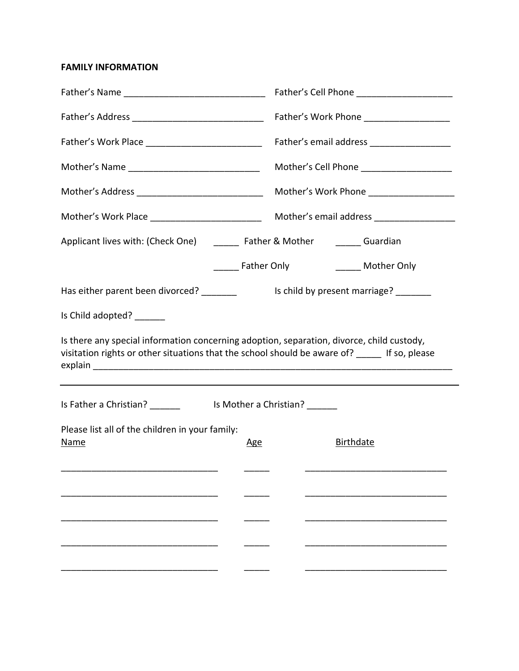**FAMILY INFORMATION**

|                                                                                           | Father's email address __________________                                                     |  |  |  |  |  |
|-------------------------------------------------------------------------------------------|-----------------------------------------------------------------------------------------------|--|--|--|--|--|
| Mother's Name __________________________________                                          | Mother's Cell Phone _____________________                                                     |  |  |  |  |  |
| Mother's Address _______________________________                                          | Mother's Work Phone ____________________                                                      |  |  |  |  |  |
|                                                                                           |                                                                                               |  |  |  |  |  |
| Applicant lives with: (Check One) ______ Father & Mother ______ Guardian                  |                                                                                               |  |  |  |  |  |
|                                                                                           | ______ Father Only _________ Mother Only                                                      |  |  |  |  |  |
|                                                                                           |                                                                                               |  |  |  |  |  |
| Is Child adopted? ______                                                                  |                                                                                               |  |  |  |  |  |
| Is there any special information concerning adoption, separation, divorce, child custody, |                                                                                               |  |  |  |  |  |
|                                                                                           | visitation rights or other situations that the school should be aware of? _____ If so, please |  |  |  |  |  |
|                                                                                           |                                                                                               |  |  |  |  |  |
| Please list all of the children in your family:<br>Name<br><u>Age</u>                     | <b>Birthdate</b>                                                                              |  |  |  |  |  |
|                                                                                           |                                                                                               |  |  |  |  |  |
|                                                                                           |                                                                                               |  |  |  |  |  |
|                                                                                           |                                                                                               |  |  |  |  |  |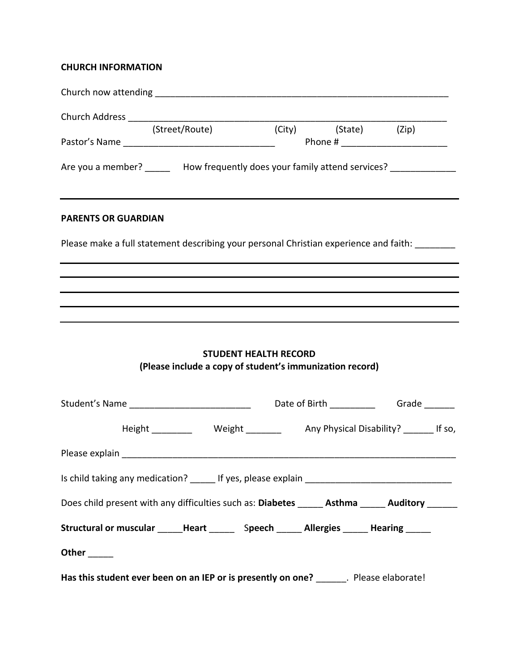## **CHURCH INFORMATION**

| (Street/Route)                                                                               |                                                                                          |                      |                                                                                   |  |
|----------------------------------------------------------------------------------------------|------------------------------------------------------------------------------------------|----------------------|-----------------------------------------------------------------------------------|--|
|                                                                                              |                                                                                          | (City) (State) (Zip) | Phone # _______________________                                                   |  |
| Are you a member? ________ How frequently does your family attend services? _______________  |                                                                                          |                      |                                                                                   |  |
| <b>PARENTS OR GUARDIAN</b>                                                                   |                                                                                          |                      |                                                                                   |  |
| Please make a full statement describing your personal Christian experience and faith:        |                                                                                          |                      |                                                                                   |  |
|                                                                                              |                                                                                          |                      |                                                                                   |  |
|                                                                                              |                                                                                          |                      |                                                                                   |  |
|                                                                                              |                                                                                          |                      |                                                                                   |  |
|                                                                                              | <b>STUDENT HEALTH RECORD</b><br>(Please include a copy of student's immunization record) |                      |                                                                                   |  |
|                                                                                              |                                                                                          |                      |                                                                                   |  |
|                                                                                              |                                                                                          |                      | Height ____________  Weight ___________  Any Physical Disability? ________ If so, |  |
|                                                                                              |                                                                                          |                      |                                                                                   |  |
|                                                                                              |                                                                                          |                      |                                                                                   |  |
| Does child present with any difficulties such as: Diabetes _____ Asthma _____ Auditory _____ |                                                                                          |                      |                                                                                   |  |
| Structural or muscular _____Heart ______ Speech _____ Allergies _____ Hearing _____          |                                                                                          |                      |                                                                                   |  |
| Other $\_\_$                                                                                 |                                                                                          |                      |                                                                                   |  |
| Has this student ever been on an IEP or is presently on one? _______. Please elaborate!      |                                                                                          |                      |                                                                                   |  |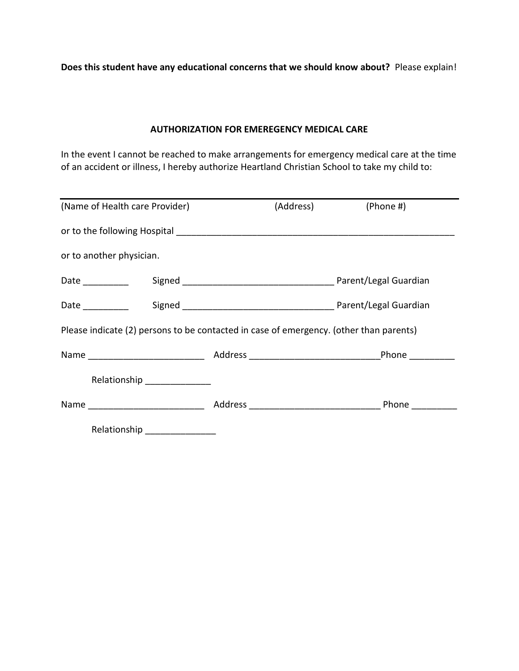**Does this student have any educational concerns that we should know about?** Please explain!

#### **AUTHORIZATION FOR EMEREGENCY MEDICAL CARE**

In the event I cannot be reached to make arrangements for emergency medical care at the time of an accident or illness, I hereby authorize Heartland Christian School to take my child to:

| (Name of Health care Provider)                                                         |                               |  | (Address) | (Phone #)                                                                                                                                                                                                                      |  |
|----------------------------------------------------------------------------------------|-------------------------------|--|-----------|--------------------------------------------------------------------------------------------------------------------------------------------------------------------------------------------------------------------------------|--|
|                                                                                        |                               |  |           |                                                                                                                                                                                                                                |  |
| or to another physician.                                                               |                               |  |           |                                                                                                                                                                                                                                |  |
| Date ___________                                                                       |                               |  |           |                                                                                                                                                                                                                                |  |
| Date __________                                                                        |                               |  |           |                                                                                                                                                                                                                                |  |
| Please indicate (2) persons to be contacted in case of emergency. (other than parents) |                               |  |           |                                                                                                                                                                                                                                |  |
|                                                                                        |                               |  |           | Name Phone Phone Phone Phone Phone Phone Phone Phone Phone Phone Phone Phone Phone Phone Phone Phone Phone Phone Phone Phone Phone Phone Phone Phone Phone Phone Phone Phone Phone Phone Phone Phone Phone Phone Phone Phone P |  |
|                                                                                        | Relationship ______________   |  |           |                                                                                                                                                                                                                                |  |
|                                                                                        |                               |  |           |                                                                                                                                                                                                                                |  |
|                                                                                        | Relationship ________________ |  |           |                                                                                                                                                                                                                                |  |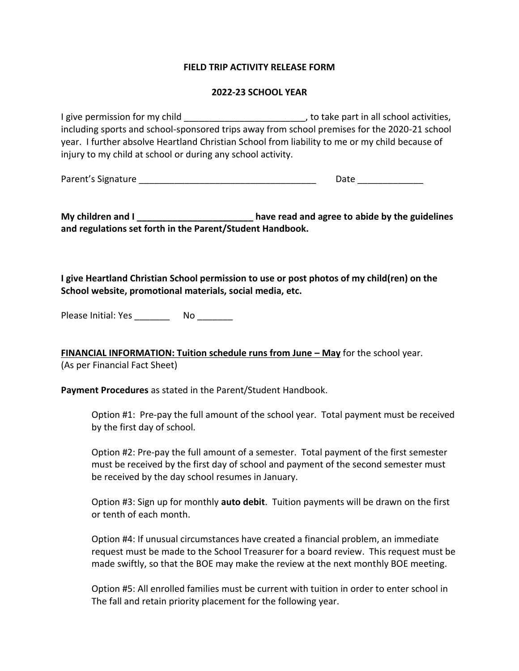#### **FIELD TRIP ACTIVITY RELEASE FORM**

#### **2022-23 SCHOOL YEAR**

I give permission for my child and all school activities, including sports and school-sponsored trips away from school premises for the 2020-21 school year. I further absolve Heartland Christian School from liability to me or my child because of injury to my child at school or during any school activity.

Parent's Signature \_\_\_\_\_\_\_\_\_\_\_\_\_\_\_\_\_\_\_\_\_\_\_\_\_\_\_\_\_\_\_\_\_\_\_ Date \_\_\_\_\_\_\_\_\_\_\_\_\_

**My children and I \_\_\_\_\_\_\_\_\_\_\_\_\_\_\_\_\_\_\_\_\_\_\_ have read and agree to abide by the guidelines and regulations set forth in the Parent/Student Handbook.**

**I give Heartland Christian School permission to use or post photos of my child(ren) on the School website, promotional materials, social media, etc.**

Please Initial: Yes \_\_\_\_\_\_\_ No \_\_\_\_\_\_\_

**FINANCIAL INFORMATION: Tuition schedule runs from June – May** for the school year. (As per Financial Fact Sheet)

**Payment Procedures** as stated in the Parent/Student Handbook.

Option #1: Pre-pay the full amount of the school year. Total payment must be received by the first day of school.

Option #2: Pre-pay the full amount of a semester. Total payment of the first semester must be received by the first day of school and payment of the second semester must be received by the day school resumes in January.

Option #3: Sign up for monthly **auto debit**. Tuition payments will be drawn on the first or tenth of each month.

Option #4: If unusual circumstances have created a financial problem, an immediate request must be made to the School Treasurer for a board review. This request must be made swiftly, so that the BOE may make the review at the next monthly BOE meeting.

Option #5: All enrolled families must be current with tuition in order to enter school in The fall and retain priority placement for the following year.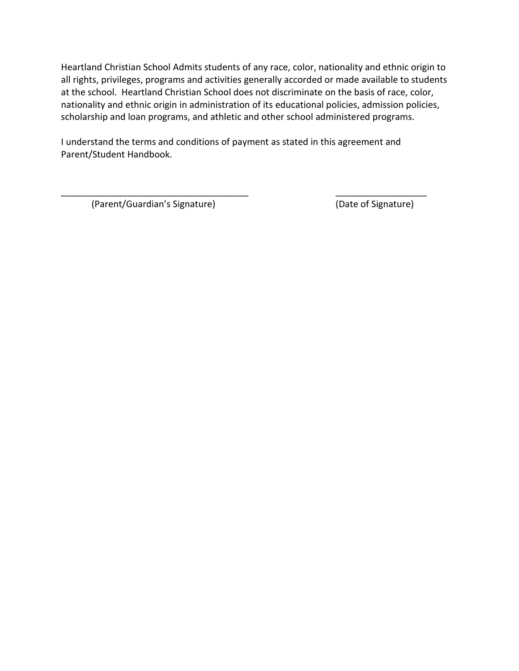Heartland Christian School Admits students of any race, color, nationality and ethnic origin to all rights, privileges, programs and activities generally accorded or made available to students at the school. Heartland Christian School does not discriminate on the basis of race, color, nationality and ethnic origin in administration of its educational policies, admission policies, scholarship and loan programs, and athletic and other school administered programs.

I understand the terms and conditions of payment as stated in this agreement and Parent/Student Handbook.

\_\_\_\_\_\_\_\_\_\_\_\_\_\_\_\_\_\_\_\_\_\_\_\_\_\_\_\_\_\_\_\_\_\_\_\_\_ \_\_\_\_\_\_\_\_\_\_\_\_\_\_\_\_\_\_

(Parent/Guardian's Signature) (Date of Signature)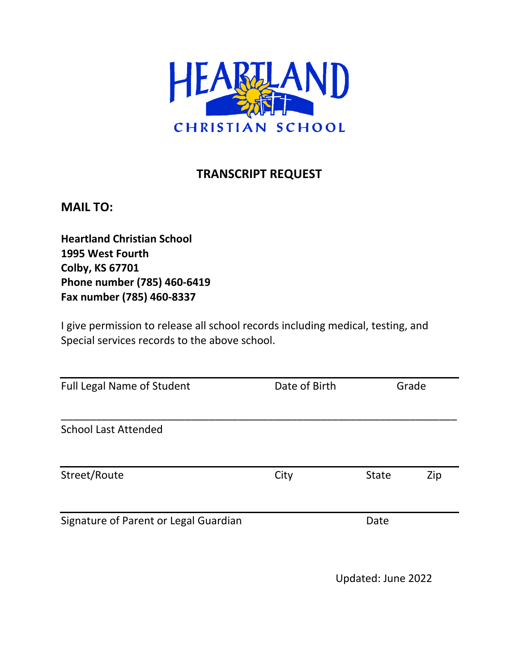

# **TRANSCRIPT REQUEST**

**MAIL TO:**

**Heartland Christian School 1995 West Fourth Colby, KS 67701 Phone number (785) 460-6419 Fax number (785) 460-8337**

I give permission to release all school records including medical, testing, and Special services records to the above school.

| <b>Full Legal Name of Student</b>     | Date of Birth |              | Grade |  |  |
|---------------------------------------|---------------|--------------|-------|--|--|
| <b>School Last Attended</b>           |               |              |       |  |  |
| Street/Route                          | City          | <b>State</b> | Zip   |  |  |
| Signature of Parent or Legal Guardian |               | Date         |       |  |  |

Updated: June 2022